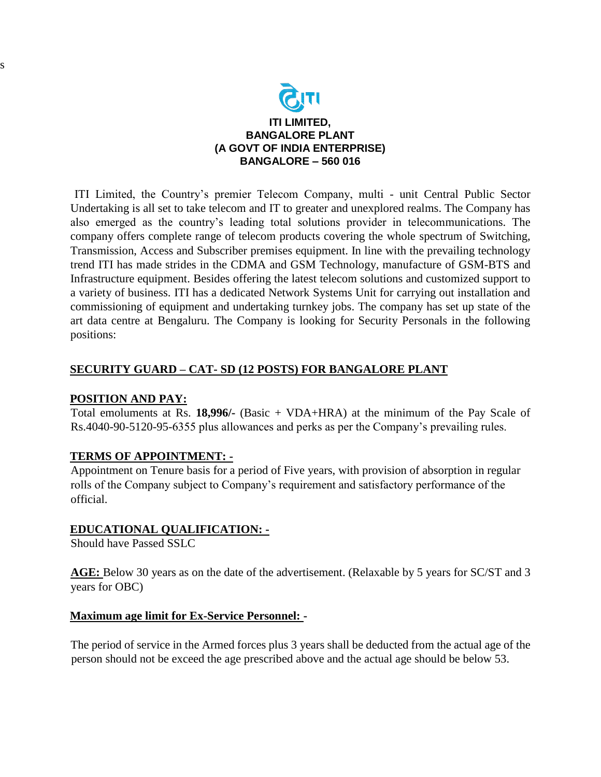

ITI Limited, the Country's premier Telecom Company, multi - unit Central Public Sector Undertaking is all set to take telecom and IT to greater and unexplored realms. The Company has also emerged as the country's leading total solutions provider in telecommunications. The company offers complete range of telecom products covering the whole spectrum of Switching, Transmission, Access and Subscriber premises equipment. In line with the prevailing technology trend ITI has made strides in the CDMA and GSM Technology, manufacture of GSM-BTS and Infrastructure equipment. Besides offering the latest telecom solutions and customized support to a variety of business. ITI has a dedicated Network Systems Unit for carrying out installation and commissioning of equipment and undertaking turnkey jobs. The company has set up state of the art data centre at Bengaluru. The Company is looking for Security Personals in the following positions:

## **SECURITY GUARD – CAT- SD (12 POSTS) FOR BANGALORE PLANT**

## **POSITION AND PAY:**

s

 Total emoluments at Rs. **18,996/-** (Basic + VDA+HRA) at the minimum of the Pay Scale of Rs.4040-90-5120-95-6355 plus allowances and perks as per the Company's prevailing rules.

## **TERMS OF APPOINTMENT: -**

Appointment on Tenure basis for a period of Five years, with provision of absorption in regular rolls of the Company subject to Company's requirement and satisfactory performance of the official.

## **EDUCATIONAL QUALIFICATION: -**

Should have Passed SSLC

**AGE:** Below 30 years as on the date of the advertisement. (Relaxable by 5 years for SC/ST and 3 years for OBC)

#### **Maximum age limit for Ex-Service Personnel: -**

The period of service in the Armed forces plus 3 years shall be deducted from the actual age of the person should not be exceed the age prescribed above and the actual age should be below 53.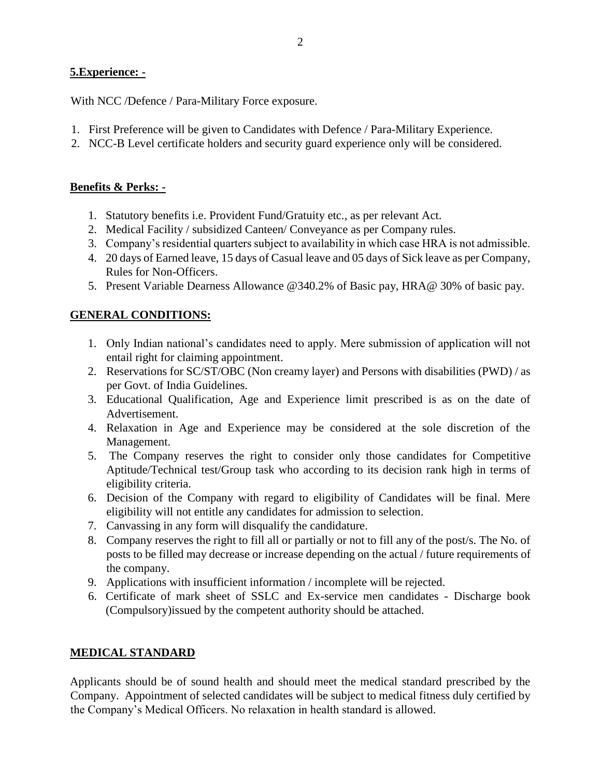## **5.Experience: -**

With NCC /Defence / Para-Military Force exposure.

- 1. First Preference will be given to Candidates with Defence / Para-Military Experience.
- 2. NCC-B Level certificate holders and security guard experience only will be considered.

## **Benefits & Perks: -**

- 1. Statutory benefits i.e. Provident Fund/Gratuity etc., as per relevant Act.
- 2. Medical Facility / subsidized Canteen/ Conveyance as per Company rules.
- 3. Company's residential quarters subject to availability in which case HRA is not admissible.
- 4. 20 days of Earned leave, 15 days of Casual leave and 05 days of Sick leave as per Company, Rules for Non-Officers.
- 5. Present Variable Dearness Allowance @340.2% of Basic pay, HRA@ 30% of basic pay.

# **GENERAL CONDITIONS:**

- 1. Only Indian national's candidates need to apply. Mere submission of application will not entail right for claiming appointment.
- 2. Reservations for SC/ST/OBC (Non creamy layer) and Persons with disabilities (PWD) / as per Govt. of India Guidelines.
- 3. Educational Qualification, Age and Experience limit prescribed is as on the date of Advertisement.
- 4. Relaxation in Age and Experience may be considered at the sole discretion of the Management.
- 5. The Company reserves the right to consider only those candidates for Competitive Aptitude/Technical test/Group task who according to its decision rank high in terms of eligibility criteria.
- 6. Decision of the Company with regard to eligibility of Candidates will be final. Mere eligibility will not entitle any candidates for admission to selection.
- 7. Canvassing in any form will disqualify the candidature.
- 8. Company reserves the right to fill all or partially or not to fill any of the post/s. The No. of posts to be filled may decrease or increase depending on the actual / future requirements of the company.
- 9. Applications with insufficient information / incomplete will be rejected.
- 6. Certificate of mark sheet of SSLC and Ex-service men candidates Discharge book (Compulsory)issued by the competent authority should be attached.

## **MEDICAL STANDARD**

Applicants should be of sound health and should meet the medical standard prescribed by the Company. Appointment of selected candidates will be subject to medical fitness duly certified by the Company's Medical Officers. No relaxation in health standard is allowed.